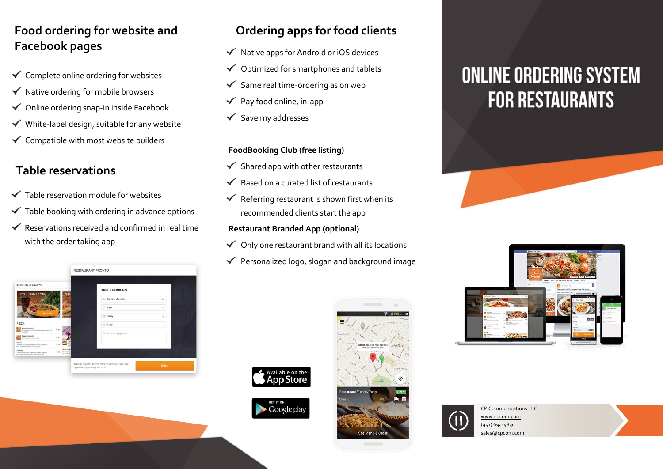# **Food ordering for website and Facebook pages**

- $\checkmark$  Complete online ordering for websites
- $\checkmark$  Native ordering for mobile browsers
- $\checkmark$  Online ordering snap-in inside Facebook
- $\checkmark$  White-label design, suitable for any website
- $\checkmark$  Compatible with most website builders

# **Table reservations**

- $\checkmark$  Table reservation module for websites
- $\checkmark$  Table booking with ordering in advance options
- $\checkmark$  Reservations received and confirmed in real time with the order taking app

| <b>TABLE BOOKING</b> |                              |
|----------------------|------------------------------|
|                      |                              |
| 21. Number of people | $\checkmark$                 |
| $C-$ Later           | $\checkmark$                 |
| 鸽<br>Today           | $\checkmark$                 |
| 0.14:30              | $\checkmark$                 |
|                      |                              |
|                      |                              |
|                      |                              |
|                      |                              |
|                      | <b>B</b> Comments (optional) |

# **Ordering apps for food clients**

- $\checkmark$  Native apps for Android or iOS devices
- Optimized for smartphones and tablets  $\checkmark$
- Same real time-ordering as on web  $\checkmark$
- Pay food online, in-app  $\checkmark$
- Save my addresses  $\checkmark$

#### **FoodBooking Club (free listing)**

- Shared app with other restaurants  $\checkmark$
- Based on a curated list of restaurants
- Referring restaurant is shown first when its  $\checkmark$ recommended clients start the app

#### **Restaurant Branded App (optional)**

- $\checkmark$  Only one restaurant brand with all its locations
- $\checkmark$  Personalized logo, slogan and background image



Google play



# **ONLINE ORDERING SYSTEM FOR RESTAURANTS**







CP Communications LLC [www.cpcom.com](http://www.cpcom.com/) (951) 694-4830 sales@cpcom.com